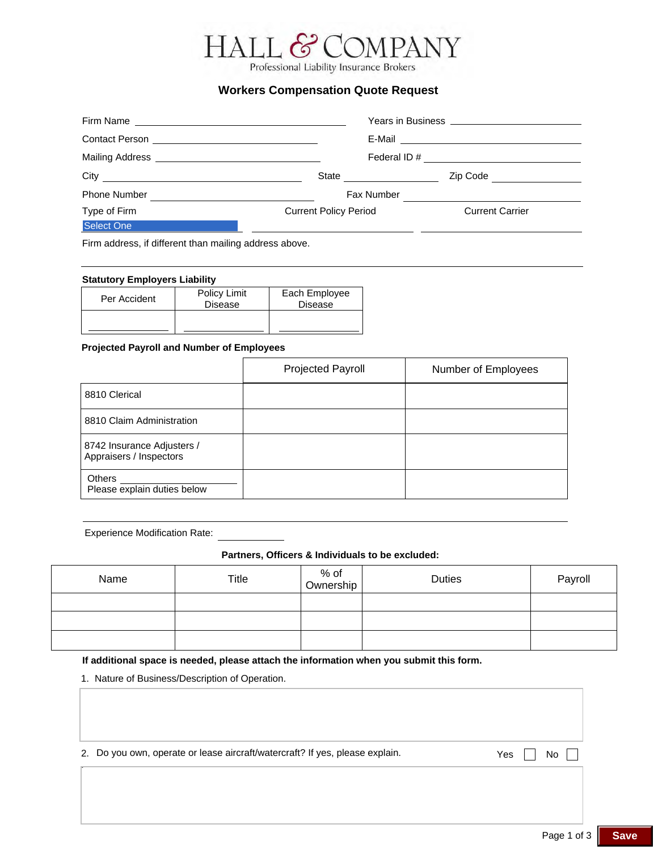# HALL. COMPANY

Professional Liability Insurance Brokers

# **Workers Compensation Quote Request**

| City                | State <u>____________</u>    | Zip Code               |
|---------------------|------------------------------|------------------------|
| <b>Phone Number</b> | Fax Number                   |                        |
| Type of Firm        | <b>Current Policy Period</b> | <b>Current Carrier</b> |
| Select One          |                              |                        |

Firm address, if different than mailing address above.

#### **Statutory Employers Liability**

| Per Accident | Policy Limit<br><b>Disease</b> | Each Employee<br><b>Disease</b> |
|--------------|--------------------------------|---------------------------------|
|              |                                |                                 |

### **Projected Payroll and Number of Employees**

|                                                       | <b>Projected Payroll</b> | Number of Employees |
|-------------------------------------------------------|--------------------------|---------------------|
| 8810 Clerical                                         |                          |                     |
| 8810 Claim Administration                             |                          |                     |
| 8742 Insurance Adjusters /<br>Appraisers / Inspectors |                          |                     |
| <b>Others</b><br>Please explain duties below          |                          |                     |

Experience Modification Rate:

.

#### **Partners, Officers & Individuals to be excluded:**

| Name | Title | % of<br>Ownership | <b>Duties</b> | Payroll |
|------|-------|-------------------|---------------|---------|
|      |       |                   |               |         |
|      |       |                   |               |         |
|      |       |                   |               |         |

**If additional space is needed, please attach the information when you submit this form.**

1. Nature of Business/Description of Operation.

|  |  |  | 2. Do you own, operate or lease aircraft/watercraft? If yes, please explain. |  |  |
|--|--|--|------------------------------------------------------------------------------|--|--|
|--|--|--|------------------------------------------------------------------------------|--|--|

Yes,  $\Box$  No  $\Box$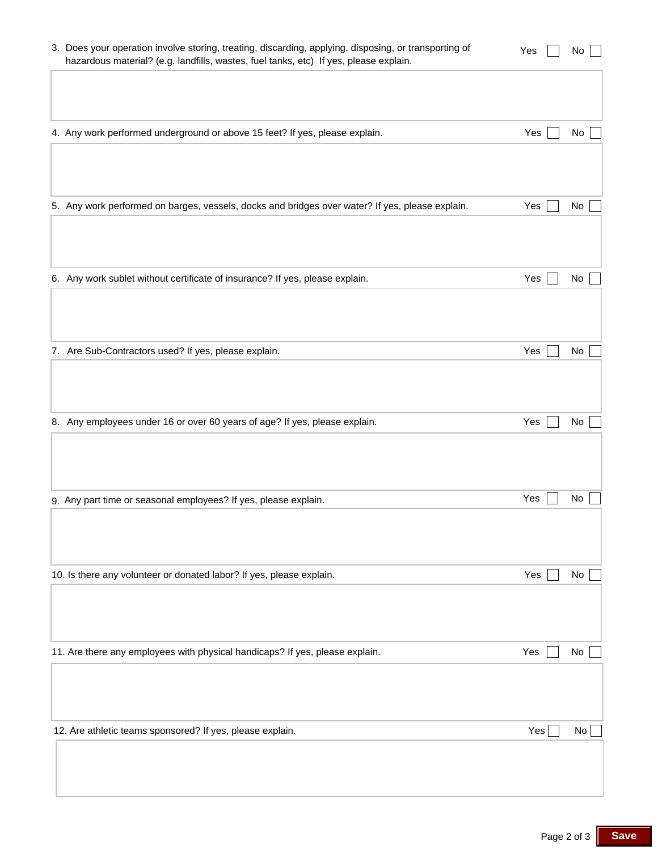| 3. Does your operation involve storing, treating, discarding, applying, disposing, or transporting of<br>hazardous material? (e.g. landfills, wastes, fuel tanks, etc) If yes, please explain. | Yes | No |
|------------------------------------------------------------------------------------------------------------------------------------------------------------------------------------------------|-----|----|
|                                                                                                                                                                                                |     |    |
| 4. Any work performed underground or above 15 feet? If yes, please explain.                                                                                                                    | Yes | No |
|                                                                                                                                                                                                |     |    |
| 5. Any work performed on barges, vessels, docks and bridges over water? If yes, please explain.                                                                                                | Yes | No |
|                                                                                                                                                                                                |     |    |
| 6. Any work sublet without certificate of insurance? If yes, please explain.                                                                                                                   | Yes | No |
|                                                                                                                                                                                                |     |    |
| 7. Are Sub-Contractors used? If yes, please explain.                                                                                                                                           | Yes | No |
|                                                                                                                                                                                                |     |    |
| 8. Any employees under 16 or over 60 years of age? If yes, please explain.                                                                                                                     | Yes | No |
|                                                                                                                                                                                                |     |    |
| 9. Any part time or seasonal employees? If yes, please explain.                                                                                                                                | Yes | No |
|                                                                                                                                                                                                |     |    |
| 10. Is there any volunteer or donated labor? If yes, please explain.                                                                                                                           | Yes | No |
|                                                                                                                                                                                                |     |    |
| 11. Are there any employees with physical handicaps? If yes, please explain.                                                                                                                   | Yes | No |
|                                                                                                                                                                                                |     |    |
| 12. Are athletic teams sponsored? If yes, please explain.                                                                                                                                      | Yes | No |
|                                                                                                                                                                                                |     |    |